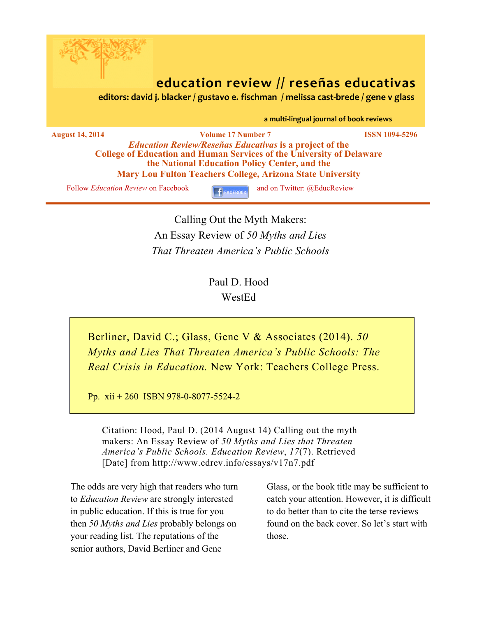

# **education review // reseñas educativas**<br> **aditors:** david j. blacker / gustavo e. fischman / melissa cast-brede / gene v glass

a multi-lingual journal of book reviews

**August 14, 2014 Volume 17 Number 7 ISSN 1094-5296** *Education Review/Reseñas Educativas* **is a project of the College of Education and Human Services of the University of Delaware the National Education Policy Center, and the Mary Lou Fulton Teachers College, Arizona State University**

Follow *Education Review* on Facebook **and on Twitter:** @EducReview

Calling Out the Myth Makers: An Essay Review of *50 Myths and Lies That Threaten America's Public Schools*

> Paul D. Hood WestEd

Berliner, David C.; Glass, Gene V & Associates (2014). *50 Myths and Lies That Threaten America's Public Schools: The Real Crisis in Education.* New York: Teachers College Press.

Pp. xii + 260 ISBN 978-0-8077-5524-2

Citation: Hood, Paul D. (2014 August 14) Calling out the myth makers: An Essay Review of *50 Myths and Lies that Threaten America's Public Schools. Education Review*, *17*(7). Retrieved [Date] from http://www.edrev.info/essays/v17n7.pdf

The odds are very high that readers who turn to *Education Review* are strongly interested in public education. If this is true for you then *50 Myths and Lies* probably belongs on your reading list. The reputations of the senior authors, David Berliner and Gene

Glass, or the book title may be sufficient to catch your attention. However, it is difficult to do better than to cite the terse reviews found on the back cover. So let's start with those.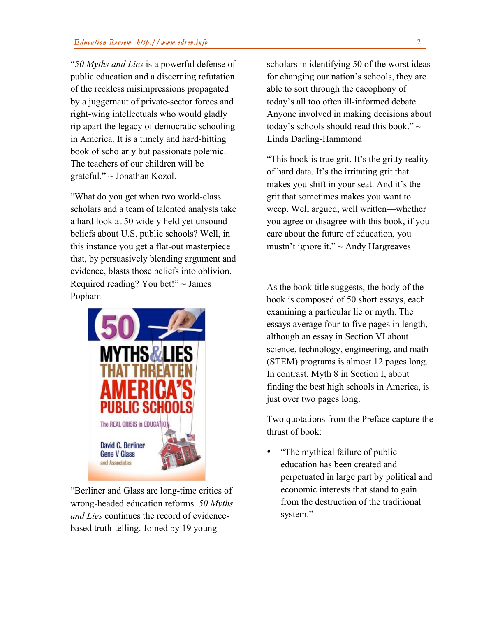"*50 Myths and Lies* is a powerful defense of public education and a discerning refutation of the reckless misimpressions propagated by a juggernaut of private-sector forces and right-wing intellectuals who would gladly rip apart the legacy of democratic schooling in America. It is a timely and hard-hitting book of scholarly but passionate polemic. The teachers of our children will be grateful." ~ Jonathan Kozol.

"What do you get when two world-class scholars and a team of talented analysts take a hard look at 50 widely held yet unsound beliefs about U.S. public schools? Well, in this instance you get a flat-out masterpiece that, by persuasively blending argument and evidence, blasts those beliefs into oblivion. Required reading? You bet!"  $\sim$  James Popham



"Berliner and Glass are long-time critics of wrong-headed education reforms. *50 Myths and Lies* continues the record of evidencebased truth-telling. Joined by 19 young

scholars in identifying 50 of the worst ideas for changing our nation's schools, they are able to sort through the cacophony of today's all too often ill-informed debate. Anyone involved in making decisions about today's schools should read this book." $\sim$ Linda Darling-Hammond

"This book is true grit. It's the gritty reality of hard data. It's the irritating grit that makes you shift in your seat. And it's the grit that sometimes makes you want to weep. Well argued, well written—whether you agree or disagree with this book, if you care about the future of education, you mustn't ignore it."  $\sim$  Andy Hargreaves

As the book title suggests, the body of the book is composed of 50 short essays, each examining a particular lie or myth. The essays average four to five pages in length, although an essay in Section VI about science, technology, engineering, and math (STEM) programs is almost 12 pages long. In contrast, Myth 8 in Section I, about finding the best high schools in America, is just over two pages long.

Two quotations from the Preface capture the thrust of book:

• "The mythical failure of public education has been created and perpetuated in large part by political and economic interests that stand to gain from the destruction of the traditional system."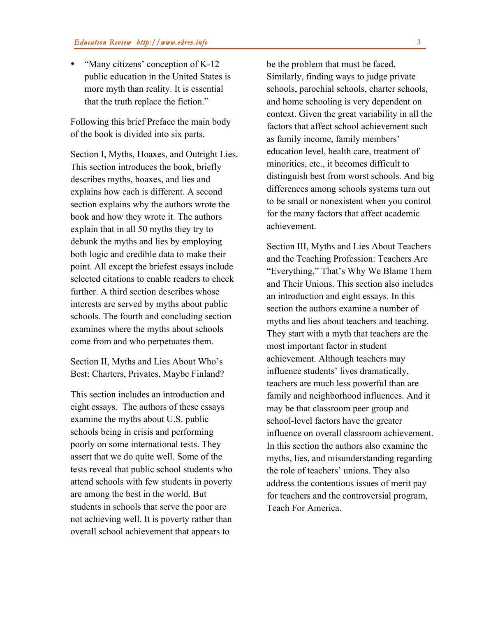• "Many citizens' conception of K-12 public education in the United States is more myth than reality. It is essential that the truth replace the fiction."

Following this brief Preface the main body of the book is divided into six parts.

Section I, Myths, Hoaxes, and Outright Lies. This section introduces the book, briefly describes myths, hoaxes, and lies and explains how each is different. A second section explains why the authors wrote the book and how they wrote it. The authors explain that in all 50 myths they try to debunk the myths and lies by employing both logic and credible data to make their point. All except the briefest essays include selected citations to enable readers to check further. A third section describes whose interests are served by myths about public schools. The fourth and concluding section examines where the myths about schools come from and who perpetuates them.

Section II, Myths and Lies About Who's Best: Charters, Privates, Maybe Finland?

This section includes an introduction and eight essays. The authors of these essays examine the myths about U.S. public schools being in crisis and performing poorly on some international tests. They assert that we do quite well. Some of the tests reveal that public school students who attend schools with few students in poverty are among the best in the world. But students in schools that serve the poor are not achieving well. It is poverty rather than overall school achievement that appears to

be the problem that must be faced. Similarly, finding ways to judge private schools, parochial schools, charter schools, and home schooling is very dependent on context. Given the great variability in all the factors that affect school achievement such as family income, family members' education level, health care, treatment of minorities, etc., it becomes difficult to distinguish best from worst schools. And big differences among schools systems turn out to be small or nonexistent when you control for the many factors that affect academic achievement.

Section III, Myths and Lies About Teachers and the Teaching Profession: Teachers Are "Everything," That's Why We Blame Them and Their Unions. This section also includes an introduction and eight essays. In this section the authors examine a number of myths and lies about teachers and teaching. They start with a myth that teachers are the most important factor in student achievement. Although teachers may influence students' lives dramatically, teachers are much less powerful than are family and neighborhood influences. And it may be that classroom peer group and school-level factors have the greater influence on overall classroom achievement. In this section the authors also examine the myths, lies, and misunderstanding regarding the role of teachers' unions. They also address the contentious issues of merit pay for teachers and the controversial program, Teach For America.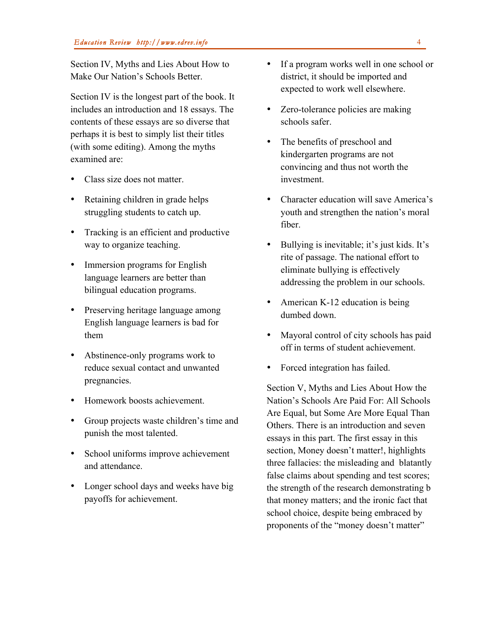Section IV, Myths and Lies About How to Make Our Nation's Schools Better.

Section IV is the longest part of the book. It includes an introduction and 18 essays. The contents of these essays are so diverse that perhaps it is best to simply list their titles (with some editing). Among the myths examined are:

- Class size does not matter.
- Retaining children in grade helps struggling students to catch up.
- Tracking is an efficient and productive way to organize teaching.
- Immersion programs for English language learners are better than bilingual education programs.
- Preserving heritage language among English language learners is bad for them
- Abstinence-only programs work to reduce sexual contact and unwanted pregnancies.
- Homework boosts achievement.
- Group projects waste children's time and punish the most talented.
- School uniforms improve achievement and attendance.
- Longer school days and weeks have big payoffs for achievement.
- If a program works well in one school or district, it should be imported and expected to work well elsewhere.
- Zero-tolerance policies are making schools safer.
- The benefits of preschool and kindergarten programs are not convincing and thus not worth the investment.
- Character education will save America's youth and strengthen the nation's moral fiber.
- Bullying is inevitable; it's just kids. It's rite of passage. The national effort to eliminate bullying is effectively addressing the problem in our schools.
- American K-12 education is being dumbed down.
- Mayoral control of city schools has paid off in terms of student achievement.
- Forced integration has failed.

Section V, Myths and Lies About How the Nation's Schools Are Paid For: All Schools Are Equal, but Some Are More Equal Than Others. There is an introduction and seven essays in this part. The first essay in this section, Money doesn't matter!, highlights three fallacies: the misleading and blatantly false claims about spending and test scores; the strength of the research demonstrating b that money matters; and the ironic fact that school choice, despite being embraced by proponents of the "money doesn't matter"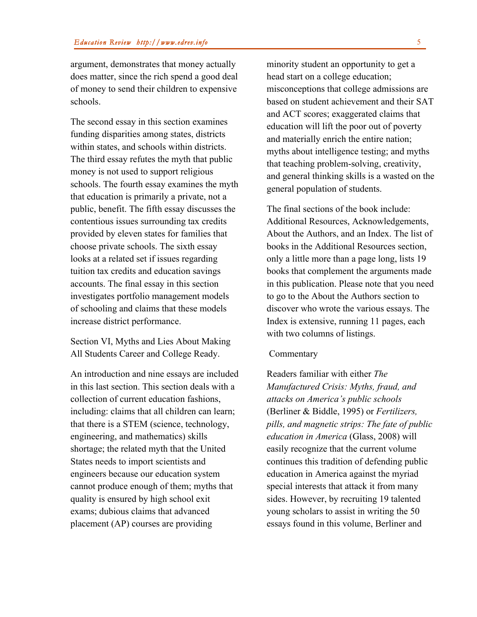argument, demonstrates that money actually does matter, since the rich spend a good deal of money to send their children to expensive schools.

The second essay in this section examines funding disparities among states, districts within states, and schools within districts. The third essay refutes the myth that public money is not used to support religious schools. The fourth essay examines the myth that education is primarily a private, not a public, benefit. The fifth essay discusses the contentious issues surrounding tax credits provided by eleven states for families that choose private schools. The sixth essay looks at a related set if issues regarding tuition tax credits and education savings accounts. The final essay in this section investigates portfolio management models of schooling and claims that these models increase district performance.

Section VI, Myths and Lies About Making All Students Career and College Ready.

An introduction and nine essays are included in this last section. This section deals with a collection of current education fashions, including: claims that all children can learn; that there is a STEM (science, technology, engineering, and mathematics) skills shortage; the related myth that the United States needs to import scientists and engineers because our education system cannot produce enough of them; myths that quality is ensured by high school exit exams; dubious claims that advanced placement (AP) courses are providing

minority student an opportunity to get a head start on a college education; misconceptions that college admissions are based on student achievement and their SAT and ACT scores; exaggerated claims that education will lift the poor out of poverty and materially enrich the entire nation; myths about intelligence testing; and myths that teaching problem-solving, creativity, and general thinking skills is a wasted on the general population of students.

The final sections of the book include: Additional Resources, Acknowledgements, About the Authors, and an Index. The list of books in the Additional Resources section, only a little more than a page long, lists 19 books that complement the arguments made in this publication. Please note that you need to go to the About the Authors section to discover who wrote the various essays. The Index is extensive, running 11 pages, each with two columns of listings.

#### **Commentary**

Readers familiar with either *The Manufactured Crisis: Myths, fraud, and attacks on America's public schools* (Berliner & Biddle, 1995) or *Fertilizers, pills, and magnetic strips: The fate of public education in America* (Glass, 2008) will easily recognize that the current volume continues this tradition of defending public education in America against the myriad special interests that attack it from many sides. However, by recruiting 19 talented young scholars to assist in writing the 50 essays found in this volume, Berliner and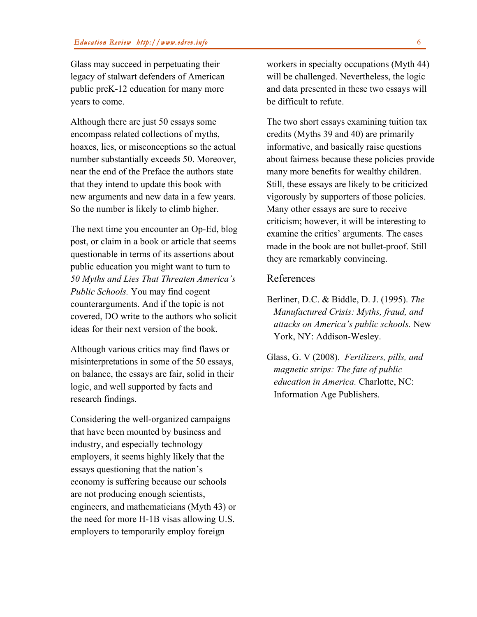Glass may succeed in perpetuating their legacy of stalwart defenders of American public preK-12 education for many more years to come.

Although there are just 50 essays some encompass related collections of myths, hoaxes, lies, or misconceptions so the actual number substantially exceeds 50. Moreover, near the end of the Preface the authors state that they intend to update this book with new arguments and new data in a few years. So the number is likely to climb higher.

The next time you encounter an Op-Ed, blog post, or claim in a book or article that seems questionable in terms of its assertions about public education you might want to turn to *50 Myths and Lies That Threaten America's Public Schools.* You may find cogent counterarguments. And if the topic is not covered, DO write to the authors who solicit ideas for their next version of the book.

Although various critics may find flaws or misinterpretations in some of the 50 essays, on balance, the essays are fair, solid in their logic, and well supported by facts and research findings.

Considering the well-organized campaigns that have been mounted by business and industry, and especially technology employers, it seems highly likely that the essays questioning that the nation's economy is suffering because our schools are not producing enough scientists, engineers, and mathematicians (Myth 43) or the need for more H-1B visas allowing U.S. employers to temporarily employ foreign

workers in specialty occupations (Myth 44) will be challenged. Nevertheless, the logic and data presented in these two essays will be difficult to refute.

The two short essays examining tuition tax credits (Myths 39 and 40) are primarily informative, and basically raise questions about fairness because these policies provide many more benefits for wealthy children. Still, these essays are likely to be criticized vigorously by supporters of those policies. Many other essays are sure to receive criticism; however, it will be interesting to examine the critics' arguments. The cases made in the book are not bullet-proof. Still they are remarkably convincing.

#### References

- Berliner, D.C. & Biddle, D. J. (1995). *The Manufactured Crisis: Myths, fraud, and attacks on America's public schools.* New York, NY: Addison-Wesley.
- Glass, G. V (2008). *Fertilizers, pills, and magnetic strips: The fate of public education in America.* Charlotte, NC: Information Age Publishers.